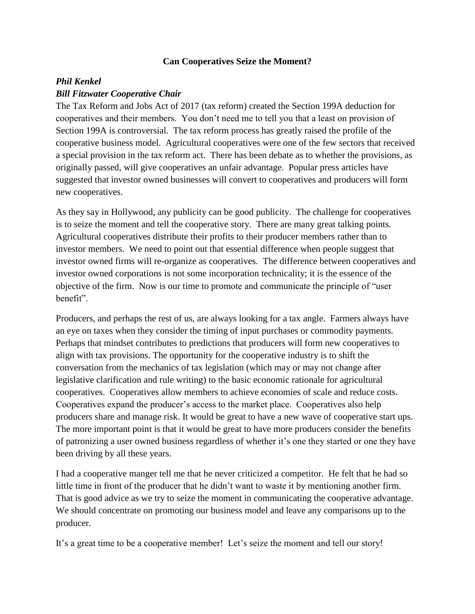## **Can Cooperatives Seize the Moment?**

## *Phil Kenkel Bill Fitzwater Cooperative Chair*

The Tax Reform and Jobs Act of 2017 (tax reform) created the Section 199A deduction for cooperatives and their members. You don't need me to tell you that a least on provision of Section 199A is controversial. The tax reform process has greatly raised the profile of the cooperative business model. Agricultural cooperatives were one of the few sectors that received a special provision in the tax reform act. There has been debate as to whether the provisions, as originally passed, will give cooperatives an unfair advantage. Popular press articles have suggested that investor owned businesses will convert to cooperatives and producers will form new cooperatives.

As they say in Hollywood, any publicity can be good publicity. The challenge for cooperatives is to seize the moment and tell the cooperative story. There are many great talking points. Agricultural cooperatives distribute their profits to their producer members rather than to investor members. We need to point out that essential difference when people suggest that investor owned firms will re-organize as cooperatives. The difference between cooperatives and investor owned corporations is not some incorporation technicality; it is the essence of the objective of the firm. Now is our time to promote and communicate the principle of "user benefit".

Producers, and perhaps the rest of us, are always looking for a tax angle. Farmers always have an eye on taxes when they consider the timing of input purchases or commodity payments. Perhaps that mindset contributes to predictions that producers will form new cooperatives to align with tax provisions. The opportunity for the cooperative industry is to shift the conversation from the mechanics of tax legislation (which may or may not change after legislative clarification and rule writing) to the basic economic rationale for agricultural cooperatives. Cooperatives allow members to achieve economies of scale and reduce costs. Cooperatives expand the producer's access to the market place. Cooperatives also help producers share and manage risk. It would be great to have a new wave of cooperative start ups. The more important point is that it would be great to have more producers consider the benefits of patronizing a user owned business regardless of whether it's one they started or one they have been driving by all these years.

I had a cooperative manger tell me that he never criticized a competitor. He felt that he had so little time in front of the producer that he didn't want to waste it by mentioning another firm. That is good advice as we try to seize the moment in communicating the cooperative advantage. We should concentrate on promoting our business model and leave any comparisons up to the producer.

It's a great time to be a cooperative member! Let's seize the moment and tell our story!